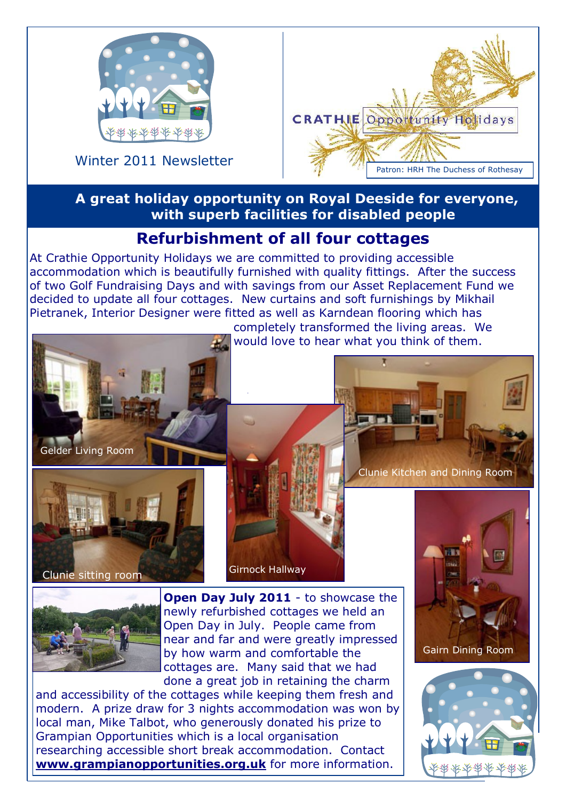

Winter 2011 Newsletter



### **A great holiday opportunity on Royal Deeside for everyone, with superb facilities for disabled people**

would love to hear what you think of them.

# **Refurbishment of all four cottages**

At Crathie Opportunity Holidays we are committed to providing accessible accommodation which is beautifully furnished with quality fittings. After the success of two Golf Fundraising Days and with savings from our Asset Replacement Fund we decided to update all four cottages. New curtains and soft furnishings by Mikhail Pietranek, Interior Designer were fitted as well as Karndean flooring which has completely transformed the living areas. We



Clunie sitting room

Girnock Hallway



**Open Day July 2011** - to showcase the newly refurbished cottages we held an Open Day in July. People came from near and far and were greatly impressed by how warm and comfortable the cottages are. Many said that we had done a great job in retaining the charm

and accessibility of the cottages while keeping them fresh and modern. A prize draw for 3 nights accommodation was won by local man, Mike Talbot, who generously donated his prize to Grampian Opportunities which is a local organisation researching accessible short break accommodation. Contact **www.grampianopportunities.org.uk** for more information.



Clunie Kitchen and Dining Room